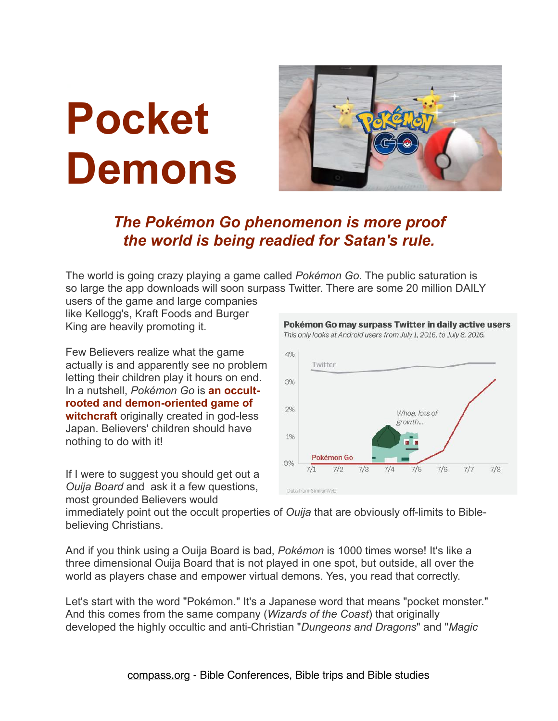## **Pocket Demons**



## *The Pokémon Go phenomenon is more proof the world is being readied for Satan's rule.*

The world is going crazy playing a game called *Pokémon Go.* The public saturation is so large the app downloads will soon surpass Twitter. There are some 20 million DAILY

users of the game and large companies like Kellogg's, Kraft Foods and Burger King are heavily promoting it.

Few Believers realize what the game actually is and apparently see no problem letting their children play it hours on end. In a nutshell, *Pokémon Go* is **an occultrooted and demon-oriented game of witchcraft** originally created in god-less Japan. Believers' children should have nothing to do with it!

If I were to suggest you should get out a *Ouija Board* and ask it a few questions, most grounded Believers would



immediately point out the occult properties of *Ouija* that are obviously off-limits to Biblebelieving Christians.

And if you think using a Ouija Board is bad, *Pokémon* is 1000 times worse! It's like a three dimensional Ouija Board that is not played in one spot, but outside, all over the world as players chase and empower virtual demons. Yes, you read that correctly.

Let's start with the word "Pokémon." It's a Japanese word that means "pocket monster." And this comes from the same company (*Wizards of the Coast*) that originally developed the highly occultic and anti-Christian "*Dungeons and Dragons*" and "*Magic*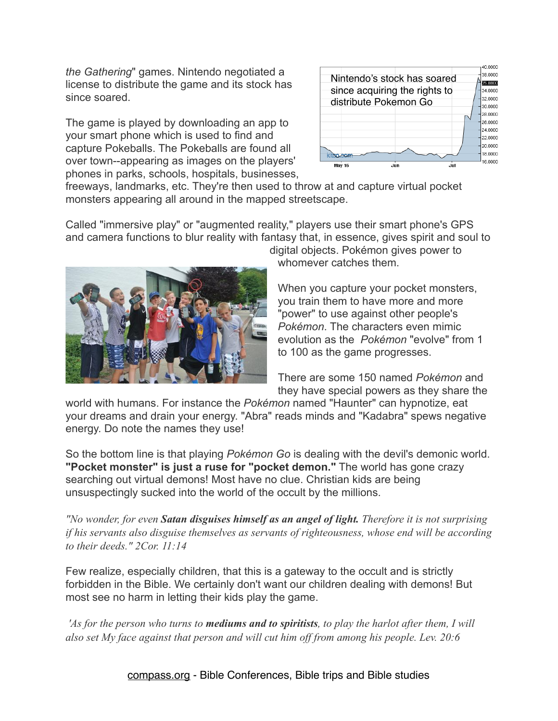*the Gathering*" games. Nintendo negotiated a license to distribute the game and its stock has since soared.

The game is played by downloading an app to your smart phone which is used to find and capture Pokeballs. The Pokeballs are found all over town--appearing as images on the players' phones in parks, schools, hospitals, businesses,



freeways, landmarks, etc. They're then used to throw at and capture virtual pocket monsters appearing all around in the mapped streetscape.

Called "immersive play" or "augmented reality," players use their smart phone's GPS and camera functions to blur reality with fantasy that, in essence, gives spirit and soul to



digital objects. Pokémon gives power to whomever catches them.

When you capture your pocket monsters, you train them to have more and more "power" to use against other people's *Pokémon*. The characters even mimic evolution as the *Pokémon* "evolve" from 1 to 100 as the game progresses.

There are some 150 named *Pokémon* and they have special powers as they share the

world with humans. For instance the *Pokémon* named "Haunter" can hypnotize, eat your dreams and drain your energy. "Abra" reads minds and "Kadabra" spews negative energy. Do note the names they use!

So the bottom line is that playing *Pokémon Go* is dealing with the devil's demonic world. **"Pocket monster" is just a ruse for "pocket demon."** The world has gone crazy searching out virtual demons! Most have no clue. Christian kids are being unsuspectingly sucked into the world of the occult by the millions.

*"No wonder, for even Satan disguises himself as an angel of light. Therefore it is not surprising if his servants also disguise themselves as servants of righteousness, whose end will be according to their deeds." 2Cor. 11:14* 

Few realize, especially children, that this is a gateway to the occult and is strictly forbidden in the Bible. We certainly don't want our children dealing with demons! But most see no harm in letting their kids play the game.

 *'As for the person who turns to mediums and to spiritists, to play the harlot after them, I will also set My face against that person and will cut him off from among his people. Lev. 20:6*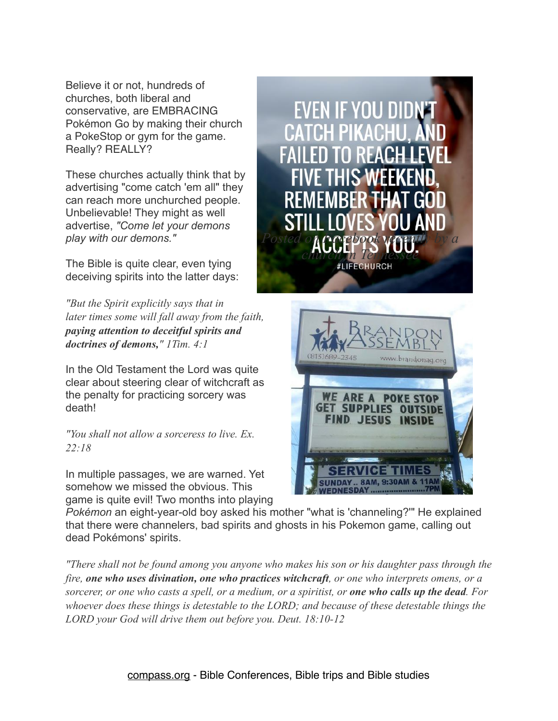Believe it or not, hundreds of churches, both liberal and conservative, are EMBRACING Pokémon Go by making their church a PokeStop or gym for the game. Really? REALLY?

These churches actually think that by advertising "come catch 'em all" they can reach more unchurched people. Unbelievable! They might as well advertise, *"Come let your demons play with our demons."*

The Bible is quite clear, even tying deceiving spirits into the latter days:

*"But the Spirit explicitly says that in later times some will fall away from the faith, paying attention to deceitful spirits and doctrines of demons," 1Tim. 4:1*

In the Old Testament the Lord was quite clear about steering clear of witchcraft as the penalty for practicing sorcery was death!

*"You shall not allow a sorceress to live. Ex. 22:18*

In multiple passages, we are warned. Yet somehow we missed the obvious. This game is quite evil! Two months into playing

IF YOU DIDN Posted on **Postebook vine w** by a *church in Tennessee*



*Pokémon* an eight-year-old boy asked his mother "what is 'channeling?'" He explained that there were channelers, bad spirits and ghosts in his Pokemon game, calling out dead Pokémons' spirits.

*"There shall not be found among you anyone who makes his son or his daughter pass through the fire, one who uses divination, one who practices witchcraft, or one who interprets omens, or a sorcerer, or one who casts a spell, or a medium, or a spiritist, or one who calls up the dead. For whoever does these things is detestable to the LORD; and because of these detestable things the LORD your God will drive them out before you. Deut. 18:10-12*